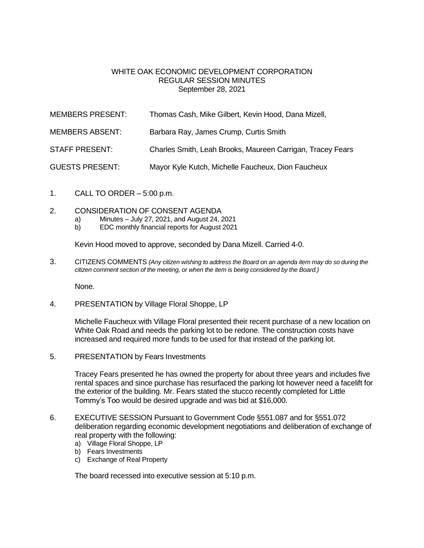## WHITE OAK ECONOMIC DEVELOPMENT CORPORATION REGULAR SESSION MINUTES September 28, 2021

| MEMBERS PRESENT:       | Thomas Cash, Mike Gilbert, Kevin Hood, Dana Mizell,        |
|------------------------|------------------------------------------------------------|
| <b>MEMBERS ABSENT:</b> | Barbara Ray, James Crump, Curtis Smith                     |
| <b>STAFF PRESENT:</b>  | Charles Smith, Leah Brooks, Maureen Carrigan, Tracey Fears |
| <b>GUESTS PRESENT:</b> | Mayor Kyle Kutch, Michelle Faucheux, Dion Faucheux         |

- 1. CALL TO ORDER 5:00 p.m.
- 2. CONSIDERATION OF CONSENT AGENDA
	- a) Minutes July 27, 2021, and August 24, 2021
	- b) EDC monthly financial reports for August 2021

Kevin Hood moved to approve, seconded by Dana Mizell. Carried 4-0.

3. CITIZENS COMMENTS *(Any citizen wishing to address the Board on an agenda item may do so during the citizen comment section of the meeting, or when the item is being considered by the Board.)*

None.

4. PRESENTATION by Village Floral Shoppe, LP

Michelle Faucheux with Village Floral presented their recent purchase of a new location on White Oak Road and needs the parking lot to be redone. The construction costs have increased and required more funds to be used for that instead of the parking lot.

5. PRESENTATION by Fears Investments

Tracey Fears presented he has owned the property for about three years and includes five rental spaces and since purchase has resurfaced the parking lot however need a facelift for the exterior of the building. Mr. Fears stated the stucco recently completed for Little Tommy's Too would be desired upgrade and was bid at \$16,000.

- 6. EXECUTIVE SESSION Pursuant to Government Code §551.087 and for §551.072 deliberation regarding economic development negotiations and deliberation of exchange of real property with the following:
	- a) Village Floral Shoppe, LP
	- b) Fears Investments
	- c) Exchange of Real Property

The board recessed into executive session at 5:10 p.m.